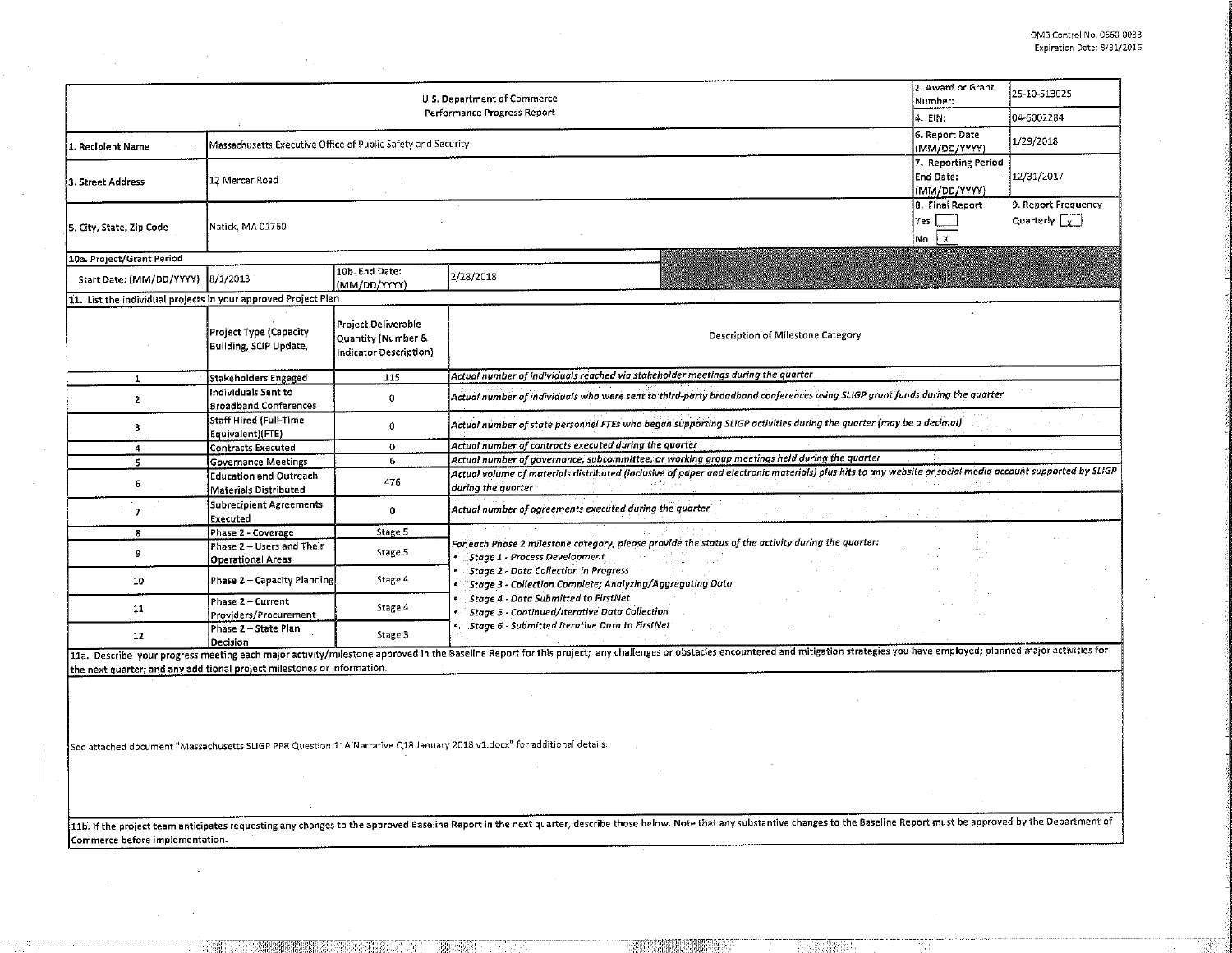| U.S. Department of Commerce<br>Performance Progress Report              |                                                              |                                                                            | 2. Award or Grant<br>Number:                                                                                                                                                                                                   | 25-10-513025                                 |                                             |  |
|-------------------------------------------------------------------------|--------------------------------------------------------------|----------------------------------------------------------------------------|--------------------------------------------------------------------------------------------------------------------------------------------------------------------------------------------------------------------------------|----------------------------------------------|---------------------------------------------|--|
|                                                                         |                                                              |                                                                            | 14. EIN:                                                                                                                                                                                                                       | 04-6002284                                   |                                             |  |
| 1. Recipient Name                                                       | Massachusetts Executive Office of Public Safety and Security |                                                                            |                                                                                                                                                                                                                                | 6. Report Date<br>(MM/DD/YYYY)               | 1/29/2018                                   |  |
| 3. Street Address                                                       | 12 Mercer Road                                               |                                                                            |                                                                                                                                                                                                                                |                                              | 12/31/2017                                  |  |
| 5. City, State, Zip Code                                                | Natick, MA 01760                                             |                                                                            |                                                                                                                                                                                                                                | 8. Final Report<br>Yes<br>$\mathsf{X}$<br>No | 9. Report Frequency<br>Quarterly $\sqrt{x}$ |  |
| 10a. Project/Grant Period                                               |                                                              |                                                                            |                                                                                                                                                                                                                                |                                              |                                             |  |
| Start Date: (MM/DD/YYYY) 8/1/2013                                       |                                                              | 10b. End Date:<br>(MM/DD/YYYY)                                             | 2/28/2018                                                                                                                                                                                                                      |                                              |                                             |  |
| 11. List the individual projects in your approved Project Plan          |                                                              |                                                                            |                                                                                                                                                                                                                                |                                              |                                             |  |
|                                                                         | Project Type (Capacity<br>Building, SCIP Update,             | <b>Project Deliverable</b><br>Quantity (Number &<br>Indicator Description) | Description of Milestone Category                                                                                                                                                                                              |                                              |                                             |  |
| $\mathbf{1}$                                                            | Stakeholders Engaged                                         | 115                                                                        | Actual number of individuals reached via stakeholder meetings during the quarter                                                                                                                                               |                                              |                                             |  |
| $\mathbf{2}$                                                            | Individuals Sent to<br><b>Broadband Conferences</b>          | $\circ$                                                                    | Actual number of individuals who were sent to third-party broadband conferences using SLIGP grant funds during the quarter                                                                                                     |                                              |                                             |  |
| 3                                                                       | Staff Hired (Full-Time<br>Equivalent)(FTE)                   | 0                                                                          | Actual number of state personnel FTEs who began supporting SLIGP activities during the quarter (may be a decimal)                                                                                                              |                                              |                                             |  |
| $\overline{4}$                                                          | Contracts Executed                                           | 0                                                                          | Actual number of contracts executed during the quarter                                                                                                                                                                         |                                              |                                             |  |
| 5                                                                       | <b>Governance Meetings</b>                                   | 6                                                                          | Actual number of governance, subcommittee, or working group meetings held during the quarter                                                                                                                                   |                                              |                                             |  |
| 6                                                                       | <b>Education and Outreach</b><br>Materials Distributed       | 476                                                                        | Actual volume of materials distributed (inclusive of paper and electronic materials) plus hits to any website or social media account supported by SLIGP<br>during the quarter                                                 |                                              |                                             |  |
| $\overline{I}$                                                          | Subrecipient Agreements<br><b>Executed</b>                   | 0                                                                          | Actual number of agreements executed during the quarter                                                                                                                                                                        |                                              |                                             |  |
| 8                                                                       | Phase 2 - Coverage                                           | Stage 5                                                                    |                                                                                                                                                                                                                                |                                              |                                             |  |
| 9                                                                       | Phase 2 - Users and Their<br>Operational Areas               | Stage 5                                                                    | For each Phase 2 milestone category, please provide the status of the activity during the quarter:<br>Stage 1 - Process Development                                                                                            |                                              |                                             |  |
| 10                                                                      | Phase 2 - Capacity Planning                                  | Stage 4                                                                    | Stage 2 - Data Collection in Progress<br>Stage 3 - Collection Complete; Analyzing/Aggregating Data                                                                                                                             |                                              |                                             |  |
| 11                                                                      | Phase 2 - Current<br>Providers/Procurement                   | Stage 4                                                                    | Stage 4 - Data Submitted to FirstNet<br>Stage 5 - Continued/Iterative Data Collection                                                                                                                                          |                                              |                                             |  |
| 12                                                                      | Phase 2 – State Plan<br>Decision                             | Stage 3                                                                    | Stage 6 - Submitted Iterative Data to FirstNet                                                                                                                                                                                 |                                              |                                             |  |
|                                                                         |                                                              |                                                                            | 11a. Describe your progress meeting each major activity/milestone approved in the Baseline Report for this project; any challenges or obstacles encountered and mitigation strategies you have employed; planned major activit |                                              |                                             |  |
| the next quarter; and any additional project milestones or information. |                                                              |                                                                            |                                                                                                                                                                                                                                |                                              |                                             |  |
|                                                                         |                                                              |                                                                            |                                                                                                                                                                                                                                |                                              |                                             |  |
|                                                                         |                                                              |                                                                            | See attached document "Massachusetts SLIGP PPR Question 11A Narrative Q18 January 2018 v1.docx" for additional details.                                                                                                        |                                              |                                             |  |

11b. If the project team anticipates requesting any changes to the approved Baseline Report in the next quarter, describe those below. Note that any substantive changes to the Baseline Report must be approved by the Depart Commerce before implementation.

 $\mathbf{I}$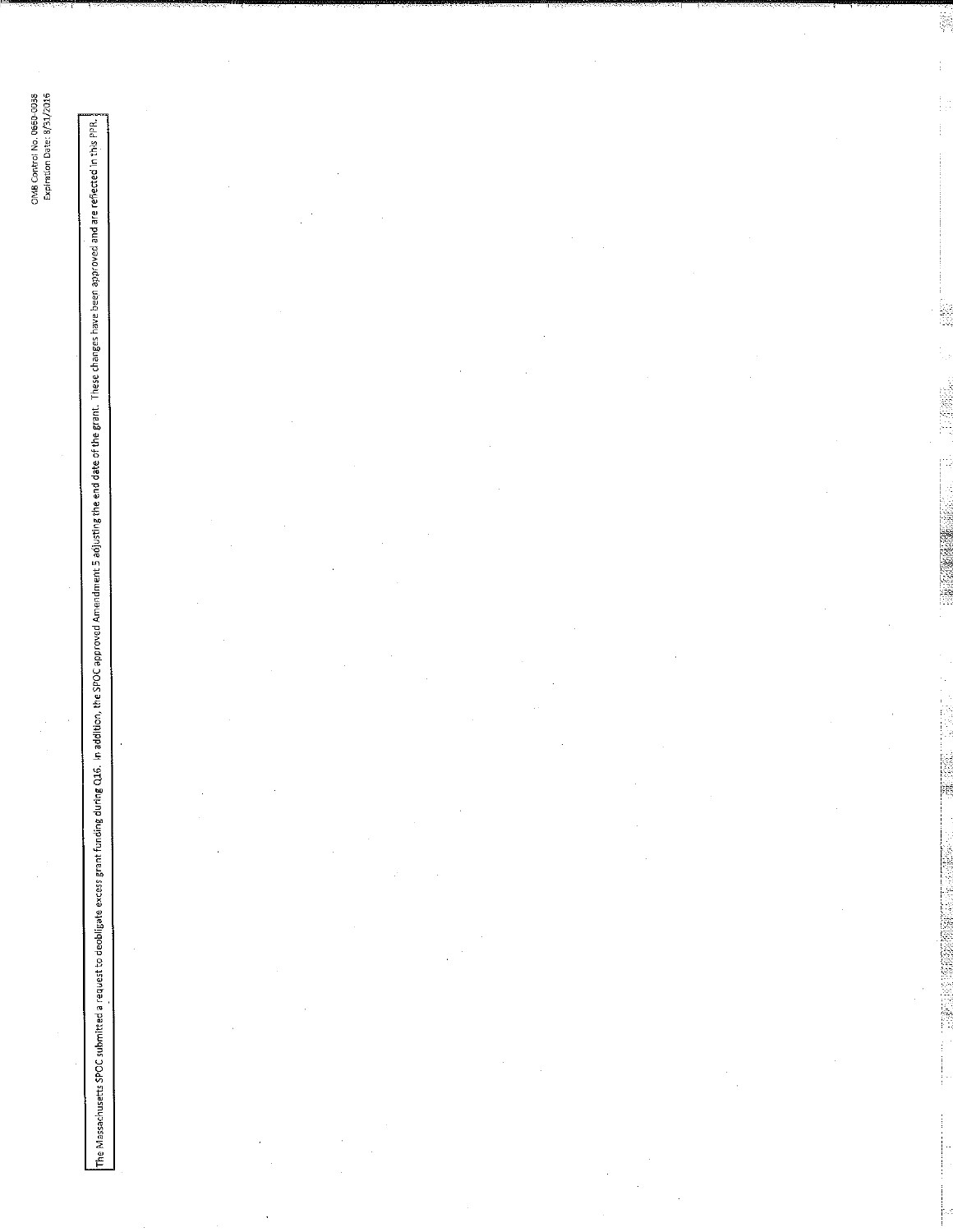The Massachusetts SPOC submitted a request to deobligate excess grant functing CLIG. In espaced Amendment 5 adjusting the end date of the grant. These changes have been approved and are reflected in this PPR.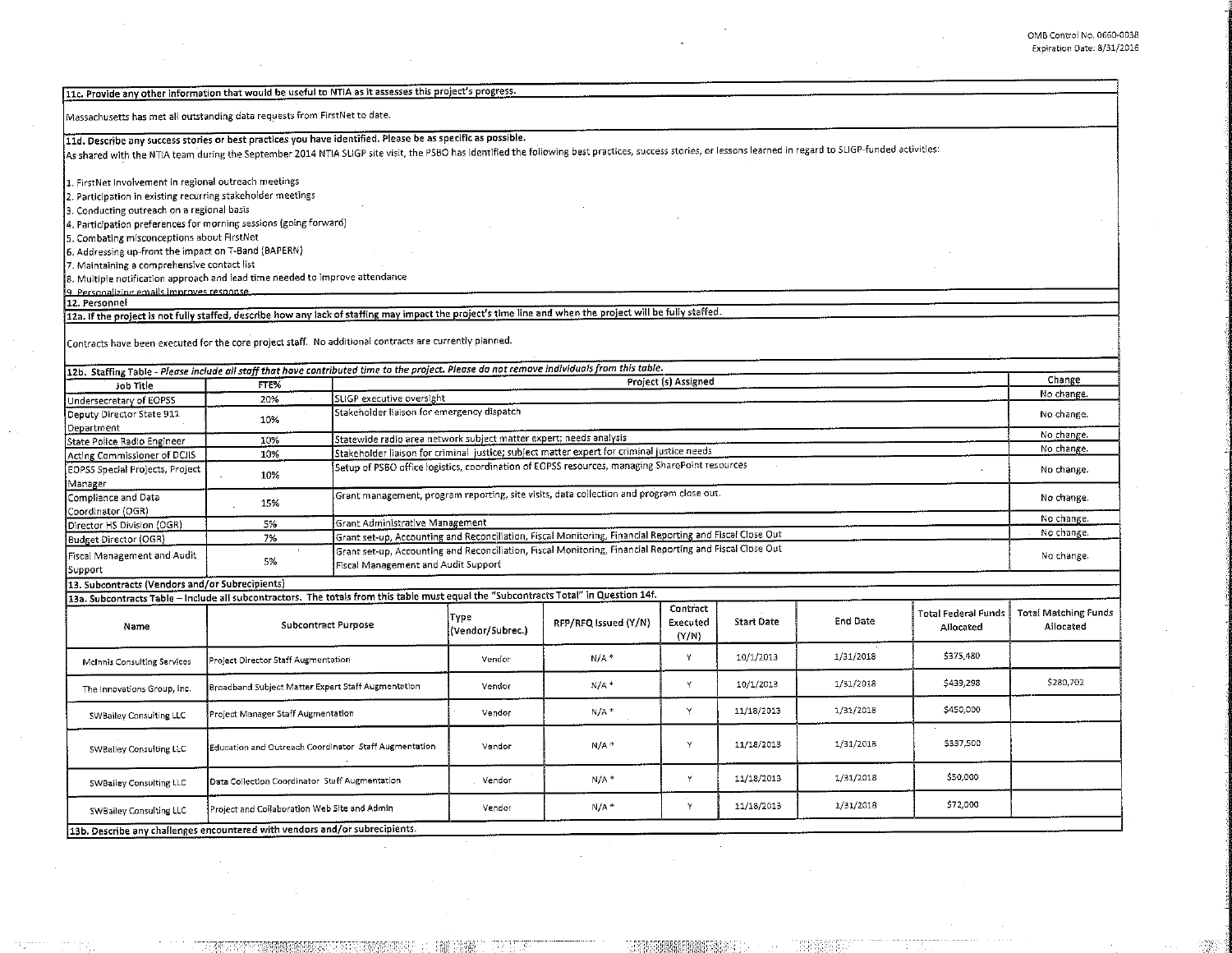$\epsilon$ 

| 11c. Provide any other information that would be useful to NTIA as it assesses this project's progress.                                                                                                       |                                                       |                                                                    |                                                                                                          |                                                                                                          |                               |            |           |                                         |                                          |
|---------------------------------------------------------------------------------------------------------------------------------------------------------------------------------------------------------------|-------------------------------------------------------|--------------------------------------------------------------------|----------------------------------------------------------------------------------------------------------|----------------------------------------------------------------------------------------------------------|-------------------------------|------------|-----------|-----------------------------------------|------------------------------------------|
| Massachusetts has met all outstanding data requests from FirstNet to date.                                                                                                                                    |                                                       |                                                                    |                                                                                                          |                                                                                                          |                               |            |           |                                         |                                          |
| 11d. Describe any success stories or best practices you have identified. Please be as specific as possible.                                                                                                   |                                                       |                                                                    |                                                                                                          |                                                                                                          |                               |            |           |                                         |                                          |
| As shared with the NTIA team during the September 2014 NTIA SLIGP site visit, the PSBO has identified the following best practices, success stories, or lessons learned in regard to SLIGP-funded activities: |                                                       |                                                                    |                                                                                                          |                                                                                                          |                               |            |           |                                         |                                          |
| 1. FirstNet Involvement in regional outreach meetings                                                                                                                                                         |                                                       |                                                                    |                                                                                                          |                                                                                                          |                               |            |           |                                         |                                          |
| 2. Participation in existing recurring stakeholder meetings                                                                                                                                                   |                                                       |                                                                    |                                                                                                          |                                                                                                          |                               |            |           |                                         |                                          |
| 3. Conducting outreach on a regional basis                                                                                                                                                                    |                                                       |                                                                    |                                                                                                          |                                                                                                          |                               |            |           |                                         |                                          |
| 4. Participation preferences for morning sessions (going forward)                                                                                                                                             |                                                       |                                                                    |                                                                                                          |                                                                                                          |                               |            |           |                                         |                                          |
| 5. Combating misconceptions about FirstNet                                                                                                                                                                    |                                                       |                                                                    |                                                                                                          |                                                                                                          |                               |            |           |                                         |                                          |
| 6. Addressing up-front the impact on T-Band (BAPERN)                                                                                                                                                          |                                                       |                                                                    |                                                                                                          |                                                                                                          |                               |            |           |                                         |                                          |
| 7. Maintaining a comprehensive contact list                                                                                                                                                                   |                                                       |                                                                    |                                                                                                          |                                                                                                          |                               |            |           |                                         |                                          |
| 8. Multiple notification approach and lead time needed to improve attendance                                                                                                                                  |                                                       |                                                                    |                                                                                                          |                                                                                                          |                               |            |           |                                         |                                          |
| 9 Personalizing emails improves response.                                                                                                                                                                     |                                                       |                                                                    |                                                                                                          |                                                                                                          |                               |            |           |                                         |                                          |
| 12. Personnel                                                                                                                                                                                                 |                                                       |                                                                    |                                                                                                          |                                                                                                          |                               |            |           |                                         |                                          |
| 12a. If the project is not fully staffed, describe how any lack of staffing may impact the project's time line and when the project will be fully staffed.                                                    |                                                       |                                                                    |                                                                                                          |                                                                                                          |                               |            |           |                                         |                                          |
| Contracts have been executed for the core project staff. No additional contracts are currently planned.                                                                                                       |                                                       |                                                                    |                                                                                                          |                                                                                                          |                               |            |           |                                         |                                          |
| 12b. Staffing Table - Please include all staff that have contributed time to the project. Please do not remove individuals from this table.                                                                   |                                                       |                                                                    |                                                                                                          |                                                                                                          |                               |            |           |                                         |                                          |
| Job Title                                                                                                                                                                                                     | FTE%                                                  |                                                                    |                                                                                                          |                                                                                                          | Project (s) Assigned          |            |           |                                         | Change                                   |
| Undersecretary of EOPSS                                                                                                                                                                                       | 20%                                                   | SLIGP executive oversight                                          |                                                                                                          |                                                                                                          |                               |            |           | No change.                              |                                          |
| Deputy Director State 911                                                                                                                                                                                     |                                                       |                                                                    | Stakeholder liaison for emergency dispatch                                                               |                                                                                                          |                               |            |           |                                         | No change.                               |
| Department                                                                                                                                                                                                    | 10%                                                   |                                                                    |                                                                                                          |                                                                                                          |                               |            |           |                                         |                                          |
| State Police Radio Engineer                                                                                                                                                                                   | 10%                                                   | Statewide radio area network subject matter expert; needs analysis |                                                                                                          |                                                                                                          |                               |            |           | No change.                              |                                          |
| Acting Commissioner of DCJIS                                                                                                                                                                                  | 10%                                                   |                                                                    | Stakeholder liaison for criminal justice; subject matter expert for criminal justice needs               |                                                                                                          |                               |            |           |                                         | No change.                               |
| EOPSS Special Projects, Project<br>Manager                                                                                                                                                                    | 10%                                                   |                                                                    | Setup of PSBO office logistics, coordination of EOPSS resources, managing SharePoint resources           |                                                                                                          |                               |            |           |                                         | No change.                               |
| Compliance and Data                                                                                                                                                                                           |                                                       |                                                                    | Grant management, program reporting, site visits, data collection and program close out.<br>No change.   |                                                                                                          |                               |            |           |                                         |                                          |
| Coordinator (OGR)                                                                                                                                                                                             | 15%                                                   |                                                                    |                                                                                                          |                                                                                                          |                               |            |           |                                         |                                          |
| Director HS Division (OGR)                                                                                                                                                                                    | 5%                                                    | Grant Administrative Management                                    |                                                                                                          |                                                                                                          |                               |            |           |                                         | No change.                               |
| Budget Director (OGR)                                                                                                                                                                                         | 7%                                                    |                                                                    | Grant set-up, Accounting and Reconciliation, Fiscal Monitoring, Financial Reporting and Fiscal Close Out |                                                                                                          |                               |            |           |                                         | No change.                               |
| Fiscal Management and Audit                                                                                                                                                                                   |                                                       |                                                                    |                                                                                                          | Grant set-up, Accounting and Reconciliation, Fiscal Monitoring, Financial Reporting and Fiscal Close Out |                               |            |           |                                         | No change.                               |
| Support                                                                                                                                                                                                       | 5%<br>Fiscal Management and Audit Support             |                                                                    |                                                                                                          |                                                                                                          |                               |            |           |                                         |                                          |
| 13. Subcontracts (Vendors and/or Subrecipients)                                                                                                                                                               |                                                       |                                                                    |                                                                                                          |                                                                                                          |                               |            |           |                                         |                                          |
| 13a. Subcontracts Table – include all subcontractors. The totals from this table must equal the "Subcontracts Total" in Question 14f.                                                                         |                                                       |                                                                    |                                                                                                          |                                                                                                          |                               |            |           |                                         |                                          |
| Name                                                                                                                                                                                                          | Subcontract Purpose                                   |                                                                    | Type<br>(Vendor/Subrec.)                                                                                 | RFP/RFQ Issued (Y/N)                                                                                     | Contract<br>Executed<br>(Y/N) | Start Date | End Date  | <b>Total Federal Funds</b><br>Allocated | <b>Total Matching Funds</b><br>Allocated |
| <b>McInnis Consulting Services</b>                                                                                                                                                                            | Project Director Staff Augmentation                   |                                                                    | Vendor                                                                                                   | $N/A$ <sup>*</sup>                                                                                       | Y                             | 10/1/2013  | 1/31/2018 | \$375,480                               |                                          |
| The Innovations Group, Inc.                                                                                                                                                                                   | Broadband Subject Matter Expert Staff Augmentation    |                                                                    | Vendor                                                                                                   | $N/A$ <sup>+</sup>                                                                                       | Y                             | 10/1/2013  | 1/31/2018 | \$439,298                               | 5280,702                                 |
| SWBailey Consulting LLC                                                                                                                                                                                       | Project Manager Staff Augmentation                    |                                                                    | Vendor                                                                                                   | $N/A$ *                                                                                                  | Υ                             | 11/18/2013 | 1/31/2018 | \$450,000                               |                                          |
| SWBalley Consulting LLC                                                                                                                                                                                       | Education and Outreach Coordinator Staff Augmentation |                                                                    | Vendor                                                                                                   | $N/A$ <sup>*</sup>                                                                                       | Y                             | 11/18/2013 | 1/31/2018 | \$337,500                               |                                          |
| SWBailey Consulting LLC                                                                                                                                                                                       | Data Collection Coordinator Staff Augmentation        |                                                                    | Vendor                                                                                                   | $N/A$ <sup>*</sup>                                                                                       | Y                             | 11/18/2013 | 1/31/2018 | \$50,000                                |                                          |
| SWBailey Consulting LLC                                                                                                                                                                                       | Project and Collaboration Web Site and Admin          |                                                                    | Vendor                                                                                                   | $N/A$ *                                                                                                  | $\mathsf{Y}$                  | 11/18/2013 | 1/31/2018 | 572,000                                 |                                          |
| 13b. Describe any challenges encountered with vendors and/or subrecipients.                                                                                                                                   |                                                       |                                                                    |                                                                                                          |                                                                                                          |                               |            |           |                                         |                                          |

69

. ,.,,·- ; ·,\'if.fJ:D~:::,i :Mi : :: /;.: ::: ~;~1Hr wr~ir::'.:: :. : :··

 $\sim 10^7$ 

 $\overline{\phantom{a}}$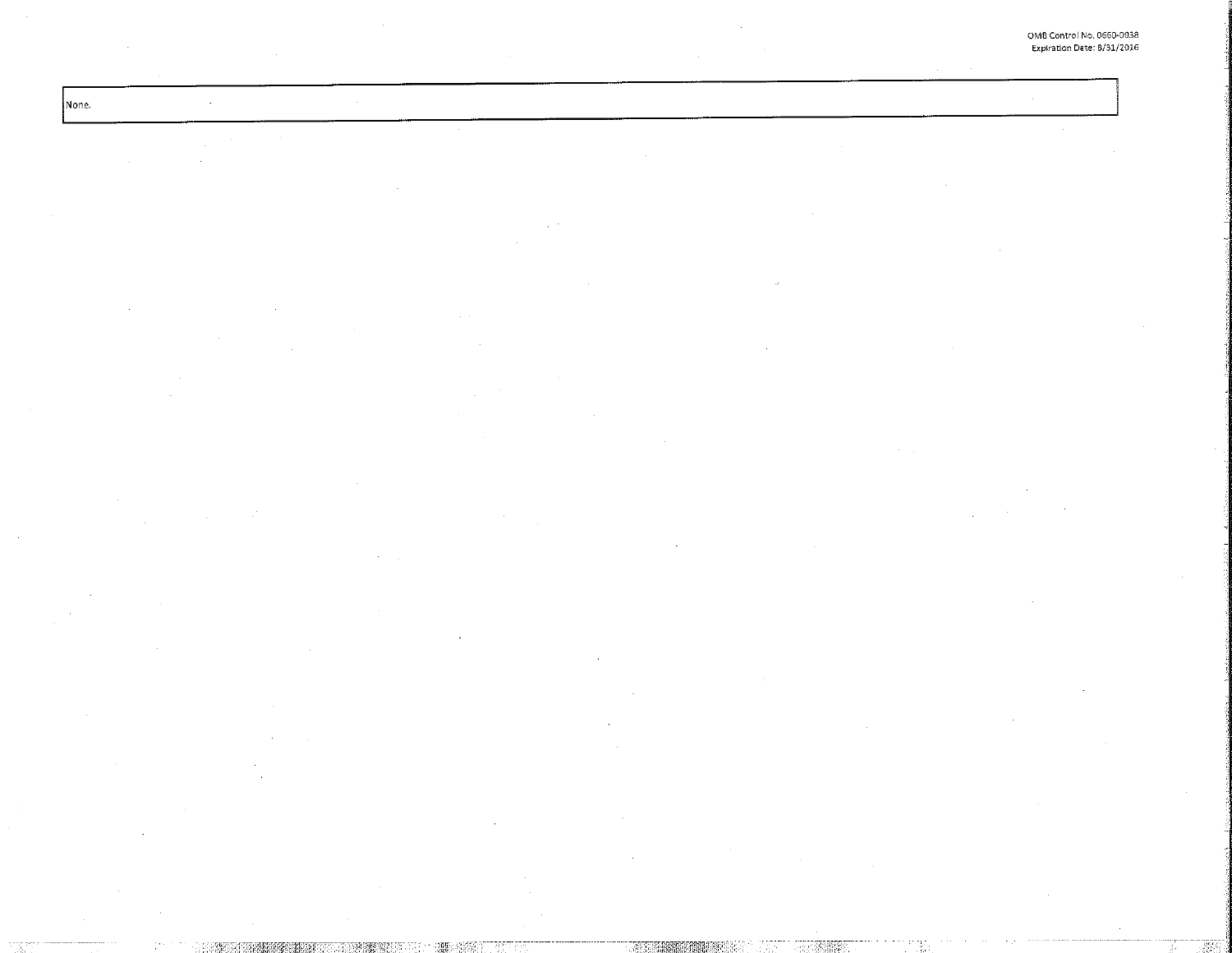None.  $\sim$ 

 $\sim$ 

389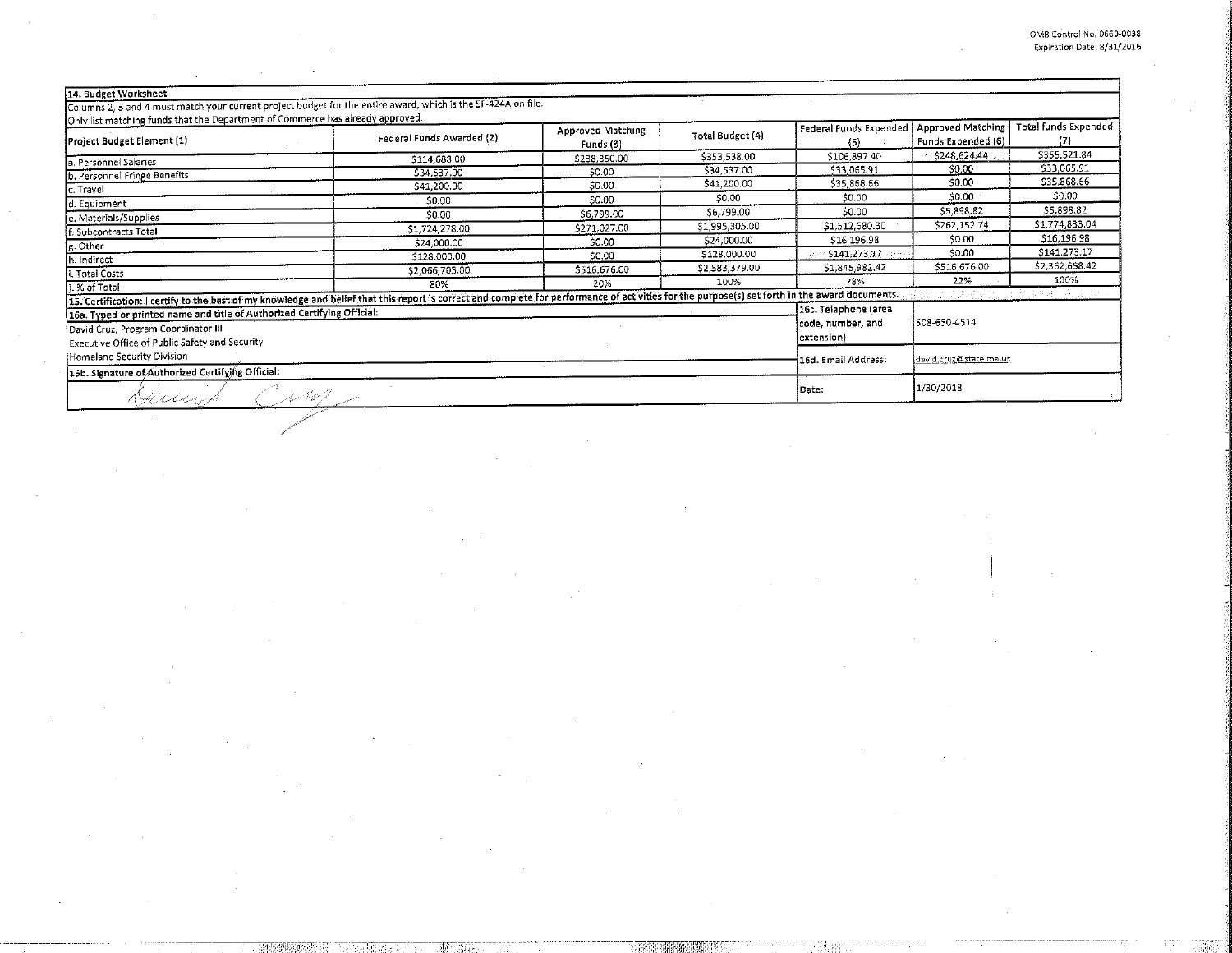$\mathcal{L}^{\mathcal{L}}$ 

 $\mathbf{I}% _{0}\left| \mathbf{I}_{1}\right|$ 

 $\ddot{\phantom{a}}$ 

 $\sim$ 

|                                                                                                                                                                                                 | Federal Funds Awarded (2) | Funds (3)    | Total Budget (4)  | Federal Funds Expended<br>{5} | <b>Approved Matching</b><br>Funds Expended (6) | <b>Total funds Expended</b><br>$\{T\}$ |
|-------------------------------------------------------------------------------------------------------------------------------------------------------------------------------------------------|---------------------------|--------------|-------------------|-------------------------------|------------------------------------------------|----------------------------------------|
| a. Personnel Salaries                                                                                                                                                                           | \$114,688.00              | \$238,850.00 | \$353,538.00      | \$106,897.40                  | \$248,624.44                                   | \$355.521.84                           |
| b. Personnel Fringe Benefits                                                                                                                                                                    | \$34,537.00               | \$0.00       | \$34,537.00       | \$33,065.91                   | \$0.00                                         | \$33,065.91                            |
| c. Travel                                                                                                                                                                                       | \$41,200.00               | \$0.00       | \$41,200.00       | \$35,868.66                   | 50.00                                          | \$35,868.66                            |
| d. Equipment                                                                                                                                                                                    | 50.00                     | \$0.00       | \$0.00            | \$0.00                        | \$0.00                                         | \$0.00                                 |
| e. Materials/Supplies                                                                                                                                                                           | \$0.00                    | \$6,799.00   | \$6,799.00        | \$0.00                        | \$5,898.82                                     | \$5,898.82                             |
| f. Subcontracts Total                                                                                                                                                                           | \$1,724,278.00            | \$271,027.00 | \$1,995,305.00    | \$1,512,680.30                | \$262,152.74                                   | \$1,774,833.04                         |
| g. Other                                                                                                                                                                                        | \$24,000.00               | \$0.00       | \$24,000.00       | \$16,196.98                   | \$0.00                                         | \$16,196.98                            |
| h. Indirect                                                                                                                                                                                     | \$128,000.00              | \$0.00       | \$128,000.00      | \$141.273.17                  | \$0.00                                         | \$141,273.17                           |
| i. Total Costs                                                                                                                                                                                  | \$2,066,703.00            | \$516,676.00 | \$2,583,379.00    | \$1,845,982.42                | \$516,676.00                                   | \$2,362,658.42                         |
| .% of Total                                                                                                                                                                                     | 80%                       | 20%          | 100%              | 78%                           | 22%                                            | 100%                                   |
| 15. Certification: I certify to the best of my knowledge and belief that this report is correct and complete for performance of activities for the purpose(s) set forth in the award documents. |                           |              |                   |                               |                                                | <i>Fieldman</i>                        |
| 16a. Typed or printed name and title of Authorized Certifying Official:                                                                                                                         |                           |              |                   | 16c. Telephone (area          |                                                |                                        |
| David Cruz, Program Coordinator III                                                                                                                                                             |                           |              | code, number, and | 508-650-4514                  |                                                |                                        |
| Executive Office of Public Safety and Security                                                                                                                                                  |                           |              |                   | extension)                    |                                                |                                        |
| Homeland Security Division<br>16b. Signature of Authorized Certifying Official:                                                                                                                 |                           |              |                   | 16d. Email Address:           | david.cruz@state.ma.us                         |                                        |

-28576

计特性程序

÷.

 $\mathcal{A}$ 

÷.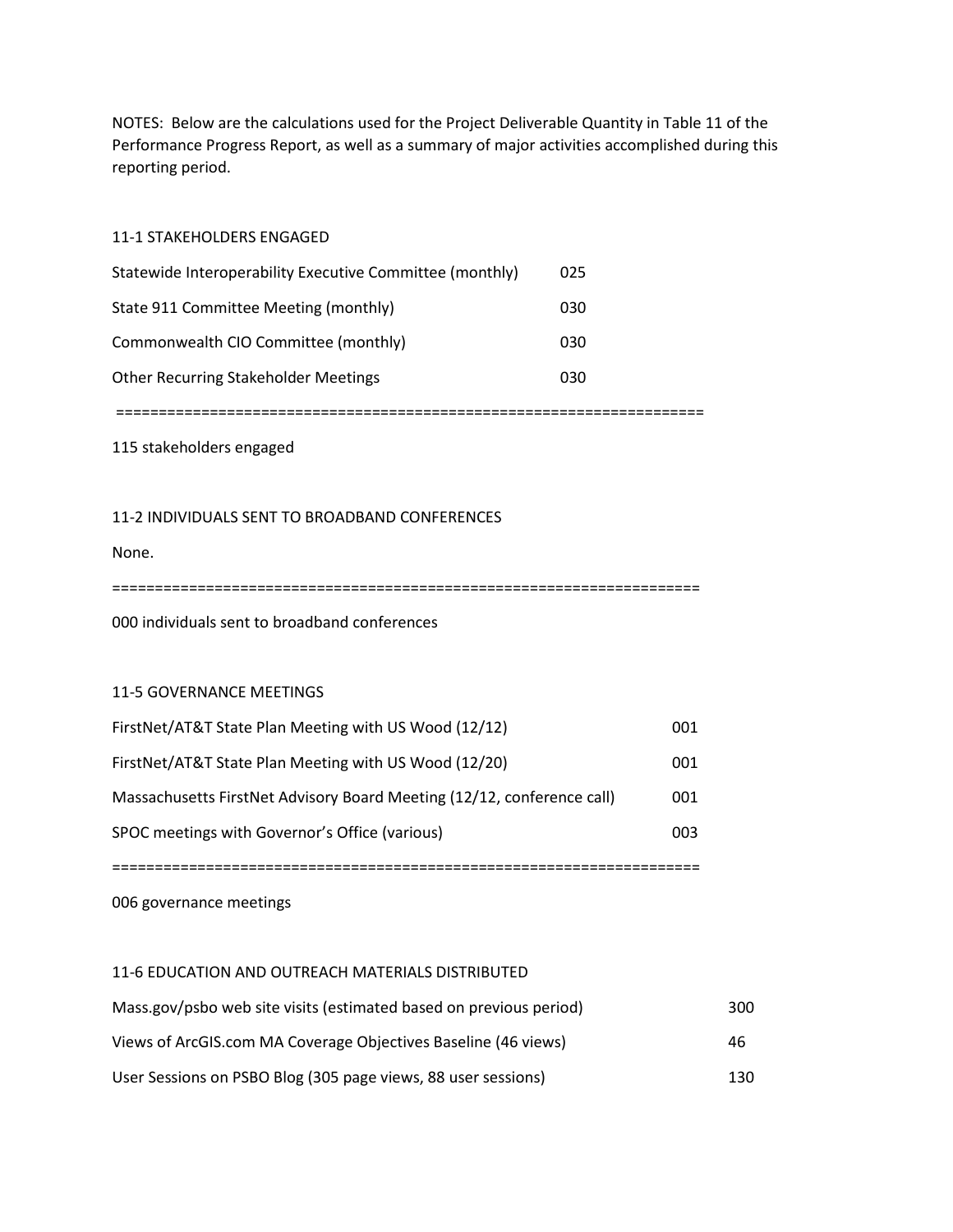NOTES: Below are the calculations used for the Project Deliverable Quantity in Table 11 of the Performance Progress Report, as well as a summary of major activities accomplished during this reporting period.

## 11-1 STAKEHOLDERS ENGAGED

| Statewide Interoperability Executive Committee (monthly) | 025 |
|----------------------------------------------------------|-----|
| State 911 Committee Meeting (monthly)                    | 030 |
| Commonwealth CIO Committee (monthly)                     | 030 |
| Other Recurring Stakeholder Meetings                     | 030 |

=====================================================================

115 stakeholders engaged

## 11-2 INDIVIDUALS SENT TO BROADBAND CONFERENCES

None.

=====================================================================

000 individuals sent to broadband conferences

## 11-5 GOVERNANCE MEETINGS

| SPOC meetings with Governor's Office (various)                         | 003 |  |  |  |  |
|------------------------------------------------------------------------|-----|--|--|--|--|
| Massachusetts FirstNet Advisory Board Meeting (12/12, conference call) | 001 |  |  |  |  |
| FirstNet/AT&T State Plan Meeting with US Wood (12/20)                  | 001 |  |  |  |  |
| FirstNet/AT&T State Plan Meeting with US Wood (12/12)                  | 001 |  |  |  |  |

006 governance meetings

## 11-6 EDUCATION AND OUTREACH MATERIALS DISTRIBUTED

| Mass.gov/psbo web site visits (estimated based on previous period) | 300 |
|--------------------------------------------------------------------|-----|
| Views of ArcGIS.com MA Coverage Objectives Baseline (46 views)     | 46  |
| User Sessions on PSBO Blog (305 page views, 88 user sessions)      | 130 |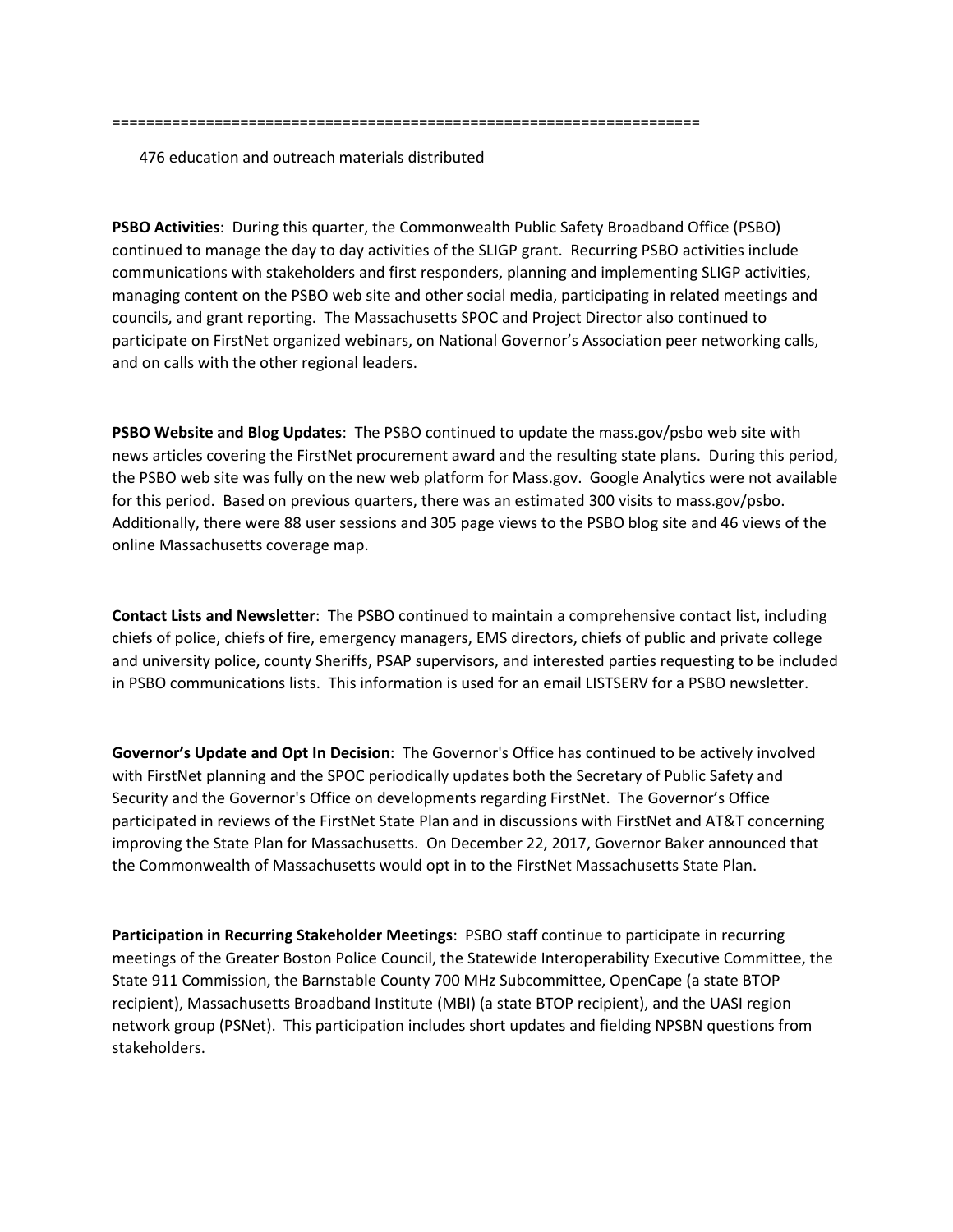476 education and outreach materials distributed

**PSBO Activities**: During this quarter, the Commonwealth Public Safety Broadband Office (PSBO) continued to manage the day to day activities of the SLIGP grant. Recurring PSBO activities include communications with stakeholders and first responders, planning and implementing SLIGP activities, managing content on the PSBO web site and other social media, participating in related meetings and councils, and grant reporting. The Massachusetts SPOC and Project Director also continued to participate on FirstNet organized webinars, on National Governor's Association peer networking calls, and on calls with the other regional leaders.

**PSBO Website and Blog Updates**: The PSBO continued to update the mass.gov/psbo web site with news articles covering the FirstNet procurement award and the resulting state plans. During this period, the PSBO web site was fully on the new web platform for Mass.gov. Google Analytics were not available for this period. Based on previous quarters, there was an estimated 300 visits to mass.gov/psbo. Additionally, there were 88 user sessions and 305 page views to the PSBO blog site and 46 views of the online Massachusetts coverage map.

**Contact Lists and Newsletter**: The PSBO continued to maintain a comprehensive contact list, including chiefs of police, chiefs of fire, emergency managers, EMS directors, chiefs of public and private college and university police, county Sheriffs, PSAP supervisors, and interested parties requesting to be included in PSBO communications lists. This information is used for an email LISTSERV for a PSBO newsletter.

**Governor's Update and Opt In Decision**: The Governor's Office has continued to be actively involved with FirstNet planning and the SPOC periodically updates both the Secretary of Public Safety and Security and the Governor's Office on developments regarding FirstNet. The Governor's Office participated in reviews of the FirstNet State Plan and in discussions with FirstNet and AT&T concerning improving the State Plan for Massachusetts. On December 22, 2017, Governor Baker announced that the Commonwealth of Massachusetts would opt in to the FirstNet Massachusetts State Plan.

**Participation in Recurring Stakeholder Meetings**: PSBO staff continue to participate in recurring meetings of the Greater Boston Police Council, the Statewide Interoperability Executive Committee, the State 911 Commission, the Barnstable County 700 MHz Subcommittee, OpenCape (a state BTOP recipient), Massachusetts Broadband Institute (MBI) (a state BTOP recipient), and the UASI region network group (PSNet). This participation includes short updates and fielding NPSBN questions from stakeholders.